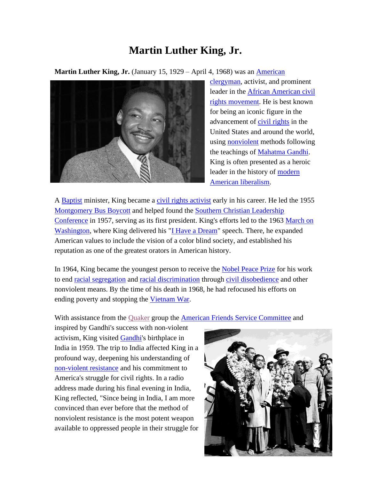## **Martin Luther King, Jr.**

**Martin Luther King, Jr.** (January 15, 1929 – April 4, 1968) was an *American* 



[clergyman,](http://en.wikipedia.org/wiki/Pastor) activist, and prominent leader in the [African American civil](http://en.wikipedia.org/wiki/African-American_Civil_Rights_Movement_(1955%E2%80%931968))  [rights movement.](http://en.wikipedia.org/wiki/African-American_Civil_Rights_Movement_(1955%E2%80%931968)) He is best known for being an iconic figure in the advancement of [civil rights](http://en.wikipedia.org/wiki/Civil_and_political_rights) in the United States and around the world, using [nonviolent](http://en.wikipedia.org/wiki/Nonviolence) methods following the teachings of [Mahatma Gandhi.](http://en.wikipedia.org/wiki/Mahatma_Gandhi) King is often presented as a heroic leader in the history of [modern](http://en.wikipedia.org/wiki/Modern_American_liberalism)  [American liberalism.](http://en.wikipedia.org/wiki/Modern_American_liberalism)

A [Baptist](http://en.wikipedia.org/wiki/Progressive_National_Baptist_Convention) minister, King became a [civil rights activist](http://en.wikipedia.org/wiki/African-American_Civil_Rights_Movement_(1955%E2%80%931968)) early in his career. He led the 1955 [Montgomery Bus Boycott](http://en.wikipedia.org/wiki/Montgomery_Bus_Boycott) and helped found the [Southern Christian Leadership](http://en.wikipedia.org/wiki/Southern_Christian_Leadership_Conference)  [Conference](http://en.wikipedia.org/wiki/Southern_Christian_Leadership_Conference) in 1957, serving as its first president. King's efforts led to the 1963 [March on](http://en.wikipedia.org/wiki/March_on_Washington_for_Jobs_and_Freedom)  [Washington,](http://en.wikipedia.org/wiki/March_on_Washington_for_Jobs_and_Freedom) where King delivered his ["I Have a Dream"](http://en.wikipedia.org/wiki/I_Have_a_Dream) speech. There, he expanded American values to include the vision of a color blind society, and established his reputation as one of the greatest orators in American history.

In 1964, King became the youngest person to receive the **Nobel Peace Prize** for his work to end [racial segregation](http://en.wikipedia.org/wiki/Racial_segregation) and [racial discrimination](http://en.wikipedia.org/wiki/Racism) through [civil disobedience](http://en.wikipedia.org/wiki/Civil_disobedience) and other nonviolent means. By the time of his death in 1968, he had refocused his efforts on ending poverty and stopping the [Vietnam War.](http://en.wikipedia.org/wiki/Vietnam_War)

With assistance from the [Quaker](http://en.wikipedia.org/wiki/Quaker) group the [American Friends Service Committee](http://en.wikipedia.org/wiki/American_Friends_Service_Committee) and

inspired by Gandhi's success with non-violent activism, King visited [Gandhi'](http://en.wikipedia.org/wiki/Gandhi)s birthplace in India in 1959. The trip to India affected King in a profound way, deepening his understanding of [non-violent resistance](http://en.wikipedia.org/wiki/Non-violent_resistance) and his commitment to America's struggle for civil rights. In a radio address made during his final evening in India, King reflected, "Since being in India, I am more convinced than ever before that the method of nonviolent resistance is the most potent weapon available to oppressed people in their struggle for